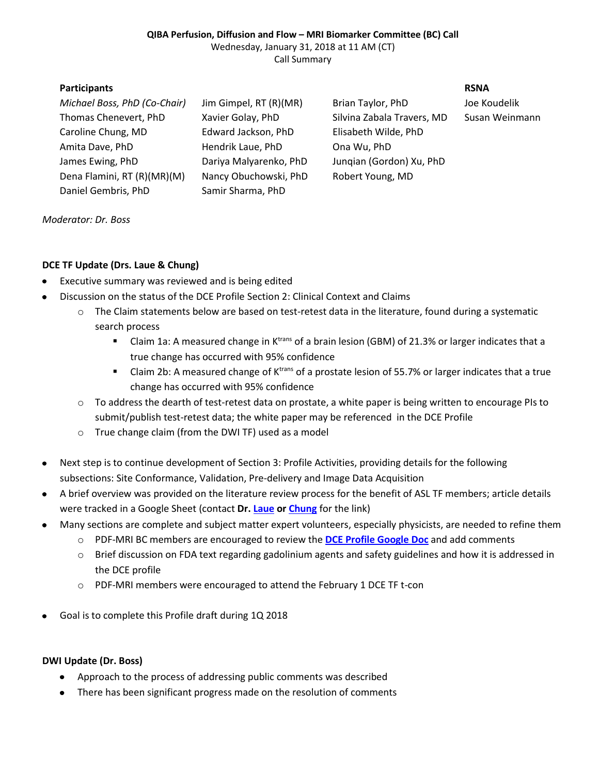### **QIBA Perfusion, Diffusion and Flow – MRI Biomarker Committee (BC) Call** Wednesday, January 31, 2018 at 11 AM (CT) Call Summary

## **Participants RSNA**

*Michael Boss, PhD (Co-Chair)* Jim Gimpel, RT (R)(MR) Brian Taylor, PhD Joe Koudelik Thomas Chenevert, PhD Xavier Golay, PhD Silvina Zabala Travers, MD Susan Weinmann Caroline Chung, MD Edward Jackson, PhD Elisabeth Wilde, PhD Amita Dave, PhD Hendrik Laue, PhD Ona Wu, PhD James Ewing, PhD Dariya Malyarenko, PhD Junqian (Gordon) Xu, PhD Dena Flamini, RT (R)(MR)(M) Nancy Obuchowski, PhD Robert Young, MD Daniel Gembris, PhD Samir Sharma, PhD

## *Moderator: Dr. Boss*

# **DCE TF Update (Drs. Laue & Chung)**

- Executive summary was reviewed and is being edited  $\bullet$
- Discussion on the status of the DCE Profile Section 2: Clinical Context and Claims
	- $\circ$  The Claim statements below are based on test-retest data in the literature, found during a systematic search process
		- Claim 1a: A measured change in K<sup>trans</sup> of a brain lesion (GBM) of 21.3% or larger indicates that a true change has occurred with 95% confidence
		- Claim 2b: A measured change of K<sup>trans</sup> of a prostate lesion of 55.7% or larger indicates that a true change has occurred with 95% confidence
	- $\circ$  To address the dearth of test-retest data on prostate, a white paper is being written to encourage PIs to submit/publish test-retest data; the white paper may be referenced in the DCE Profile
	- o True change claim (from the DWI TF) used as a model
- Next step is to continue development of Section 3: Profile Activities, providing details for the following  $\bullet$ subsections: Site Conformance, Validation, Pre-delivery and Image Data Acquisition
- A brief overview was provided on the literature review process for the benefit of ASL TF members; article details  $\bullet$ were tracked in a Google Sheet (contact **Dr. [Laue](mailto:hendrik.laue@mevis.fraunhofer.de) or [Chung](mailto:cchung3@mdanderson.org)** for the link)
- Many sections are complete and subject matter expert volunteers, especially physicists, are needed to refine them  $\bullet$ 
	- o PDF-MRI BC members are encouraged to review the **[DCE Profile Google Doc](https://docs.google.com/document/d/1in76va1Q96tVX97RWLHHqimOHxCeDsMqh98na8pwOb8/edit?usp=sharing)** and add comments
	- o Brief discussion on FDA text regarding gadolinium agents and safety guidelines and how it is addressed in the DCE profile
	- o PDF-MRI members were encouraged to attend the February 1 DCE TF t-con
- Goal is to complete this Profile draft during 1Q 2018

## **DWI Update (Dr. Boss)**

- Approach to the process of addressing public comments was described
- There has been significant progress made on the resolution of comments